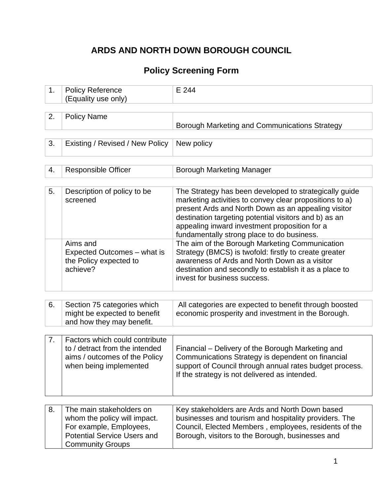# **ARDS AND NORTH DOWN BOROUGH COUNCIL**

## **Policy Screening Form**

| 1. | <b>Policy Reference</b><br>(Equality use only)                                                                                                       | E 244                                                                                                                                                                                                                                                                                                                            |
|----|------------------------------------------------------------------------------------------------------------------------------------------------------|----------------------------------------------------------------------------------------------------------------------------------------------------------------------------------------------------------------------------------------------------------------------------------------------------------------------------------|
|    |                                                                                                                                                      |                                                                                                                                                                                                                                                                                                                                  |
| 2. | <b>Policy Name</b>                                                                                                                                   | Borough Marketing and Communications Strategy                                                                                                                                                                                                                                                                                    |
|    |                                                                                                                                                      |                                                                                                                                                                                                                                                                                                                                  |
| 3. | Existing / Revised / New Policy                                                                                                                      | New policy                                                                                                                                                                                                                                                                                                                       |
|    |                                                                                                                                                      |                                                                                                                                                                                                                                                                                                                                  |
| 4. | <b>Responsible Officer</b>                                                                                                                           | Borough Marketing Manager                                                                                                                                                                                                                                                                                                        |
|    |                                                                                                                                                      |                                                                                                                                                                                                                                                                                                                                  |
| 5. | Description of policy to be<br>screened                                                                                                              | The Strategy has been developed to strategically guide<br>marketing activities to convey clear propositions to a)<br>present Ards and North Down as an appealing visitor<br>destination targeting potential visitors and b) as an<br>appealing inward investment proposition for a<br>fundamentally strong place to do business. |
|    | Aims and<br>Expected Outcomes – what is<br>the Policy expected to<br>achieve?                                                                        | The aim of the Borough Marketing Communication<br>Strategy (BMCS) is twofold: firstly to create greater<br>awareness of Ards and North Down as a visitor<br>destination and secondly to establish it as a place to<br>invest for business success.                                                                               |
|    |                                                                                                                                                      |                                                                                                                                                                                                                                                                                                                                  |
| 6. | Section 75 categories which<br>might be expected to benefit<br>and how they may benefit.                                                             | All categories are expected to benefit through boosted<br>economic prosperity and investment in the Borough.                                                                                                                                                                                                                     |
|    |                                                                                                                                                      |                                                                                                                                                                                                                                                                                                                                  |
| 7. | Factors which could contribute<br>to / detract from the intended<br>aims / outcomes of the Policy<br>when being implemented                          | Financial – Delivery of the Borough Marketing and<br>Communications Strategy is dependent on financial<br>support of Council through annual rates budget process.<br>If the strategy is not delivered as intended.                                                                                                               |
|    |                                                                                                                                                      |                                                                                                                                                                                                                                                                                                                                  |
| 8. | The main stakeholders on<br>whom the policy will impact.<br>For example, Employees,<br><b>Potential Service Users and</b><br><b>Community Groups</b> | Key stakeholders are Ards and North Down based<br>businesses and tourism and hospitality providers. The<br>Council, Elected Members, employees, residents of the<br>Borough, visitors to the Borough, businesses and                                                                                                             |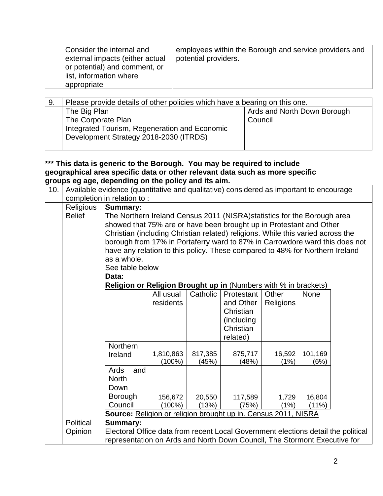| 9. | Please provide details of other policies which have a bearing on this one. |                             |  |  |  |  |  |  |
|----|----------------------------------------------------------------------------|-----------------------------|--|--|--|--|--|--|
|    | The Big Plan                                                               | Ards and North Down Borough |  |  |  |  |  |  |
|    | The Corporate Plan                                                         | Council                     |  |  |  |  |  |  |
|    | Integrated Tourism, Regeneration and Economic                              |                             |  |  |  |  |  |  |
|    | Development Strategy 2018-2030 (ITRDS)                                     |                             |  |  |  |  |  |  |
|    |                                                                            |                             |  |  |  |  |  |  |

**\*\*\* This data is generic to the Borough. You may be required to include geographical area specific data or other relevant data such as more specific groups eg age, depending on the policy and its aim.**

| 10. |               | Available evidence (quantitative and qualitative) considered as important to encourage |                                                                        |                  |                  |                  |             |  |  |  |  |
|-----|---------------|----------------------------------------------------------------------------------------|------------------------------------------------------------------------|------------------|------------------|------------------|-------------|--|--|--|--|
|     |               | completion in relation to:                                                             |                                                                        |                  |                  |                  |             |  |  |  |  |
|     | Religious     | <b>Summary:</b>                                                                        |                                                                        |                  |                  |                  |             |  |  |  |  |
|     | <b>Belief</b> | The Northern Ireland Census 2011 (NISRA) statistics for the Borough area               |                                                                        |                  |                  |                  |             |  |  |  |  |
|     |               | showed that 75% are or have been brought up in Protestant and Other                    |                                                                        |                  |                  |                  |             |  |  |  |  |
|     |               | Christian (including Christian related) religions. While this varied across the        |                                                                        |                  |                  |                  |             |  |  |  |  |
|     |               | borough from 17% in Portaferry ward to 87% in Carrowdore ward this does not            |                                                                        |                  |                  |                  |             |  |  |  |  |
|     |               | have any relation to this policy. These compared to 48% for Northern Ireland           |                                                                        |                  |                  |                  |             |  |  |  |  |
|     |               | as a whole.                                                                            |                                                                        |                  |                  |                  |             |  |  |  |  |
|     |               | See table below                                                                        |                                                                        |                  |                  |                  |             |  |  |  |  |
|     |               | Data:                                                                                  |                                                                        |                  |                  |                  |             |  |  |  |  |
|     |               |                                                                                        | <b>Religion or Religion Brought up in (Numbers with % in brackets)</b> |                  |                  |                  |             |  |  |  |  |
|     |               |                                                                                        | All usual                                                              | Catholic         | Protestant       | Other            | <b>None</b> |  |  |  |  |
|     |               |                                                                                        | residents                                                              |                  | and Other        | <b>Religions</b> |             |  |  |  |  |
|     |               |                                                                                        |                                                                        |                  | Christian        |                  |             |  |  |  |  |
|     |               |                                                                                        |                                                                        |                  | (including)      |                  |             |  |  |  |  |
|     |               |                                                                                        |                                                                        |                  | Christian        |                  |             |  |  |  |  |
|     |               |                                                                                        |                                                                        |                  | related)         |                  |             |  |  |  |  |
|     |               | Northern                                                                               |                                                                        |                  |                  |                  | 101,169     |  |  |  |  |
|     |               | Ireland                                                                                | 1,810,863<br>$(100\%)$                                                 | 817,385<br>(45%) | 875,717<br>(48%) | 16,592<br>(1%)   | (6%)        |  |  |  |  |
|     |               | Ards<br>and                                                                            |                                                                        |                  |                  |                  |             |  |  |  |  |
|     |               | <b>North</b>                                                                           |                                                                        |                  |                  |                  |             |  |  |  |  |
|     |               | Down                                                                                   |                                                                        |                  |                  |                  |             |  |  |  |  |
|     |               | Borough                                                                                | 156,672                                                                | 20,550           | 117,589          | 1,729            | 16,804      |  |  |  |  |
|     |               | Council                                                                                | $(100\%)$                                                              | (13%)            | (75%)            | (1%)             | (11%)       |  |  |  |  |
|     |               | Source: Religion or religion brought up in. Census 2011, NISRA                         |                                                                        |                  |                  |                  |             |  |  |  |  |
|     | Political     | <b>Summary:</b>                                                                        |                                                                        |                  |                  |                  |             |  |  |  |  |
|     | Opinion       | Electoral Office data from recent Local Government elections detail the political      |                                                                        |                  |                  |                  |             |  |  |  |  |
|     |               | representation on Ards and North Down Council, The Stormont Executive for              |                                                                        |                  |                  |                  |             |  |  |  |  |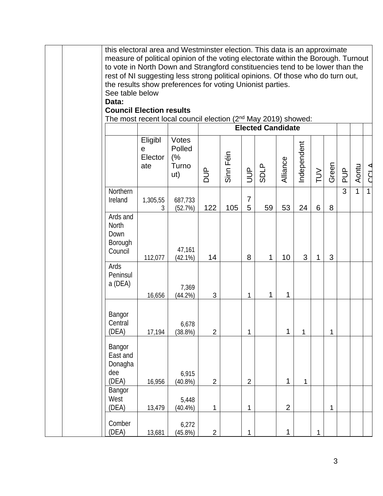|  | this electoral area and Westminster election. This data is an approximate<br>measure of political opinion of the voting electorate within the Borough. Turnout |                                |                                       |                |           |                     |                          |                |             |              |              |                |       |              |
|--|----------------------------------------------------------------------------------------------------------------------------------------------------------------|--------------------------------|---------------------------------------|----------------|-----------|---------------------|--------------------------|----------------|-------------|--------------|--------------|----------------|-------|--------------|
|  | to vote in North Down and Strangford constituencies tend to be lower than the                                                                                  |                                |                                       |                |           |                     |                          |                |             |              |              |                |       |              |
|  | rest of NI suggesting less strong political opinions. Of those who do turn out,<br>the results show preferences for voting Unionist parties.                   |                                |                                       |                |           |                     |                          |                |             |              |              |                |       |              |
|  | See table below                                                                                                                                                |                                |                                       |                |           |                     |                          |                |             |              |              |                |       |              |
|  | Data:                                                                                                                                                          |                                |                                       |                |           |                     |                          |                |             |              |              |                |       |              |
|  | <b>Council Election results</b><br>The most recent local council election $(2^{nd}$ May 2019) showed:                                                          |                                |                                       |                |           |                     |                          |                |             |              |              |                |       |              |
|  |                                                                                                                                                                |                                |                                       |                |           |                     | <b>Elected Candidate</b> |                |             |              |              |                |       |              |
|  |                                                                                                                                                                | Eligibl<br>е<br>Elector<br>ate | Votes<br>Polled<br>(%<br>Turno<br>ut) | <b>AUD</b>     | Sinn Féin | $\overline{5}$      | <b>SDLP</b>              | Alliance       | Independent | TUV          | Green        | $\frac{p}{q}$  | Aontu | <b>CCLA</b>  |
|  | Northern<br>Ireland                                                                                                                                            | 1,305,55<br>3                  | 687,733<br>(52.7%)                    | 122            | 105       | $\overline{7}$<br>5 | 59                       | 53             | 24          | 6            | 8            | $\overline{3}$ | 1     | $\mathbf{1}$ |
|  | Ards and<br><b>North</b><br>Down<br>Borough<br>Council                                                                                                         | 112,077                        | 47,161<br>(42.1%)                     | 14             |           | 8                   | 1                        | 10             | 3           | $\mathbf{1}$ | 3            |                |       |              |
|  | Ards<br>Peninsul<br>a (DEA)                                                                                                                                    | 16,656                         | 7,369<br>(44.2%)                      | 3              |           | 1                   | 1                        | 1              |             |              |              |                |       |              |
|  | Bangor<br>Central<br>(DEA)                                                                                                                                     | 17,194                         | 6,678<br>$(38.8\%)$                   | $\overline{2}$ |           | 1                   |                          | 1              | 1           |              | $\mathbf{1}$ |                |       |              |
|  | Bangor<br>East and<br>Donagha<br>dee<br>(DEA)                                                                                                                  | 16,956                         | 6,915<br>(40.8%)                      | $\mathbf 2$    |           | $\overline{c}$      |                          | $\mathbf{1}$   | $\mathbf 1$ |              |              |                |       |              |
|  | Bangor<br>West<br>(DEA)                                                                                                                                        | 13,479                         | 5,448<br>$(40.4\%)$                   | 1              |           | 1                   |                          | $\overline{2}$ |             |              | $\mathbf 1$  |                |       |              |
|  | Comber<br>(DEA)                                                                                                                                                | 13,681                         | 6,272<br>$(45.8\%)$                   | $\overline{2}$ |           | 1                   |                          | 1              |             | $\mathbf 1$  |              |                |       |              |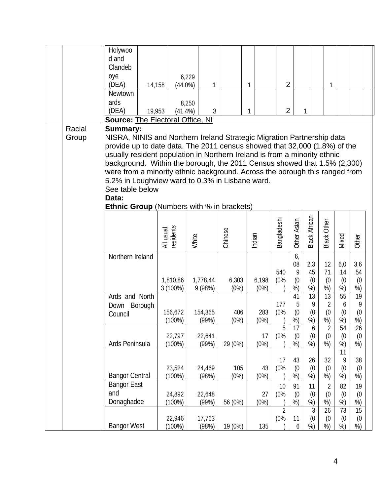|                 | Holywoo<br>d and<br>Clandeb<br>oye<br>(DEA)<br>14,158<br>Newtown<br>ards                                                                                                                                                                                                                                                                                                                                                                                                                                                                          | $(44.0\%)$             | 6,229<br>1<br>8,250 |               | 1             | $\overline{2}$              |                            |                                  | 1                                 |                                    |                        |  |
|-----------------|---------------------------------------------------------------------------------------------------------------------------------------------------------------------------------------------------------------------------------------------------------------------------------------------------------------------------------------------------------------------------------------------------------------------------------------------------------------------------------------------------------------------------------------------------|------------------------|---------------------|---------------|---------------|-----------------------------|----------------------------|----------------------------------|-----------------------------------|------------------------------------|------------------------|--|
|                 | (DEA)<br>19,953<br><b>Source: The Electoral Office, NI</b>                                                                                                                                                                                                                                                                                                                                                                                                                                                                                        | $(41.4\%)$             | 3                   |               | 1             | $\overline{2}$              | 1                          |                                  |                                   |                                    |                        |  |
| Racial<br>Group | <b>Summary:</b><br>NISRA, NINIS and Northern Ireland Strategic Migration Partnership data<br>provide up to date data. The 2011 census showed that 32,000 (1.8%) of the<br>usually resident population in Northern Ireland is from a minority ethnic<br>background. Within the borough, the 2011 Census showed that 1.5% (2,300)<br>were from a minority ethnic background. Across the borough this ranged from<br>5.2% in Loughview ward to 0.3% in Lisbane ward.<br>See table below<br>Data:<br><b>Ethnic Group</b> (Numbers with % in brackets) |                        |                     |               |               |                             |                            |                                  |                                   |                                    |                        |  |
|                 |                                                                                                                                                                                                                                                                                                                                                                                                                                                                                                                                                   | residents<br>All usual | White               | Chinese       | Indian        | Bangladeshi                 | Other Asian                | <b>Black African</b>             | <b>Black Other</b>                | Mixed                              | Other                  |  |
|                 | Northern Ireland                                                                                                                                                                                                                                                                                                                                                                                                                                                                                                                                  | 1,810,86<br>$3(100\%)$ | 1,778,44<br>9(98%)  | 6,303<br>(0%) | 6,198<br>(0%) | 540<br>(0%                  | 6,<br>08<br>9<br>(0)<br>%) | 2,3<br>45<br>(0)<br>%)           | 12<br>71<br>(0)<br>%)             | 6,0<br>14<br>(0)<br>%)             | 3,6<br>54<br>(0)<br>%) |  |
|                 | Ards and North<br>Borough<br>Down<br>Council                                                                                                                                                                                                                                                                                                                                                                                                                                                                                                      | 156,672<br>$(100\%)$   | 154,365<br>(99%)    | 406<br>(0%)   | 283<br>(0%)   | 177<br>(0%                  | 41<br>5<br>(0)<br>$%$ )    | 13<br>9<br>(0)<br>%)             | 13<br>$\overline{2}$<br>(0)<br>%) | 55<br>6<br>(0)<br>%)               | 19<br>9<br>(0)<br>%)   |  |
|                 | Ards Peninsula                                                                                                                                                                                                                                                                                                                                                                                                                                                                                                                                    | 22,797<br>$(100\%)$    | 22,641<br>(99%)     | 29 (0%)       | 17<br>(0%)    | 5<br>(0%                    | 17<br>(0)<br>%             | 6<br>(0)<br>%)                   | $\overline{2}$<br>(0)<br>%)       | 54<br>(0)<br>%)<br>11              | 26<br>(0)<br>$%$ )     |  |
|                 | <b>Bangor Central</b>                                                                                                                                                                                                                                                                                                                                                                                                                                                                                                                             | 23,524<br>$(100\%)$    | 24,469<br>(98%)     | 105<br>(0%)   | 43<br>(0%)    | 17<br>(0%                   | 43<br>(0)<br>%)            | 26<br>(0)<br>%)                  | 32<br>(0)<br>%)                   | 9<br>(0)<br>%)                     | 38<br>(0)<br>%)        |  |
|                 | <b>Bangor East</b><br>and<br>Donaghadee                                                                                                                                                                                                                                                                                                                                                                                                                                                                                                           | 24,892<br>$(100\%)$    | 22,648<br>(99%)     | 56 (0%)       | 27<br>(0%)    | 10<br>(0%<br>$\overline{2}$ | 91<br>(0)<br>%)            | 11<br>(0)<br>%<br>$\mathfrak{Z}$ | $\overline{2}$<br>(0)<br>%)<br>26 | 82<br>(0)<br>%)<br>$\overline{73}$ | 19<br>(0)<br>%)<br>15  |  |
|                 | <b>Bangor West</b>                                                                                                                                                                                                                                                                                                                                                                                                                                                                                                                                | 22,946<br>(100%)       | 17,763<br>(98%)     | 19 (0%)       | 135           | (0%                         | 11<br>6                    | (0)<br>%                         | (0)<br>%)                         | (0)<br>%)                          | (0)<br>%)              |  |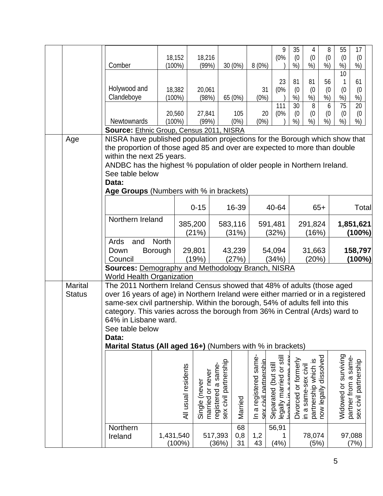|                |                                                                                                                                                                  |              | 18,152              | 18,216                                                   |                                            |                 |                              | 9<br>(0%                               | 35<br>(0)            | 4<br>(0)                                                            | 8<br>(0)  | 55<br>(0)                     | 17<br>(0)                                    |
|----------------|------------------------------------------------------------------------------------------------------------------------------------------------------------------|--------------|---------------------|----------------------------------------------------------|--------------------------------------------|-----------------|------------------------------|----------------------------------------|----------------------|---------------------------------------------------------------------|-----------|-------------------------------|----------------------------------------------|
|                | Comber                                                                                                                                                           |              | $(100\%)$           | (99%)                                                    |                                            | 30 (0%)         | 8(0%)                        |                                        | %)                   | %)                                                                  | %)        | %)<br>$\overline{10}$         | $%$ )                                        |
|                |                                                                                                                                                                  |              |                     |                                                          |                                            |                 |                              | 23                                     | 81                   | 81                                                                  | 56        | 1                             | 61                                           |
|                | Holywood and<br>Clandeboye                                                                                                                                       |              | 18,382<br>$(100\%)$ | 20,061<br>(98%)                                          |                                            | 65 (0%)         | 31<br>(0%)                   | (0%                                    | (0)<br>%)            | (0)<br>%)                                                           | (0)<br>%) | (0)                           | (0)                                          |
|                |                                                                                                                                                                  |              |                     |                                                          |                                            |                 |                              | 111                                    | 30                   | 8                                                                   | 6         | %<br>$\overline{75}$          | $\%$<br>$\overline{20}$                      |
|                |                                                                                                                                                                  |              | 20,560              | 27,841                                                   |                                            | 105             | 20                           | (0%                                    | (0)                  | (0)                                                                 | (0)       | (0)                           | (0)                                          |
|                | <b>Newtownards</b><br>Source: Ethnic Group, Census 2011, NISRA                                                                                                   |              | $(100\%)$           | (99%)                                                    |                                            | (0%)            | (0%)                         |                                        | %                    | %)                                                                  | %)        | %)                            | %)                                           |
| Age            | NISRA have published population projections for the Borough which show that                                                                                      |              |                     |                                                          |                                            |                 |                              |                                        |                      |                                                                     |           |                               |                                              |
|                | the proportion of those aged 85 and over are expected to more than double                                                                                        |              |                     |                                                          |                                            |                 |                              |                                        |                      |                                                                     |           |                               |                                              |
|                | within the next 25 years.                                                                                                                                        |              |                     |                                                          |                                            |                 |                              |                                        |                      |                                                                     |           |                               |                                              |
|                | ANDBC has the highest % population of older people in Northern Ireland.                                                                                          |              |                     |                                                          |                                            |                 |                              |                                        |                      |                                                                     |           |                               |                                              |
|                | See table below<br>Data:                                                                                                                                         |              |                     |                                                          |                                            |                 |                              |                                        |                      |                                                                     |           |                               |                                              |
|                | Age Groups (Numbers with % in brackets)                                                                                                                          |              |                     |                                                          |                                            |                 |                              |                                        |                      |                                                                     |           |                               |                                              |
|                |                                                                                                                                                                  |              |                     |                                                          |                                            |                 |                              |                                        |                      |                                                                     |           |                               |                                              |
|                |                                                                                                                                                                  |              |                     | $0 - 15$                                                 |                                            | 16-39           |                              | 40-64                                  |                      |                                                                     | $65+$     |                               | Total                                        |
|                | Northern Ireland                                                                                                                                                 |              |                     | 385,200                                                  |                                            | 583,116         |                              | 591,481                                |                      | 291,824                                                             |           | 1,851,621                     |                                              |
|                |                                                                                                                                                                  |              |                     | (21%)                                                    |                                            | (31%)           |                              | (32%)                                  |                      | (16%)                                                               |           |                               | (100%)                                       |
|                | Ards<br>and                                                                                                                                                      | <b>North</b> |                     |                                                          |                                            |                 |                              |                                        |                      |                                                                     |           |                               |                                              |
|                | Down<br>Council                                                                                                                                                  | Borough      |                     | 29,801<br>(19%)                                          |                                            | 43,239<br>(27%) |                              | 54,094<br>(34%)                        |                      | 31,663<br>(20%)                                                     |           |                               | 158,797<br>$(100\%)$                         |
|                |                                                                                                                                                                  |              |                     | <b>Sources: Demography and Methodology Branch, NISRA</b> |                                            |                 |                              |                                        |                      |                                                                     |           |                               |                                              |
|                | <b>World Health Organization</b>                                                                                                                                 |              |                     |                                                          |                                            |                 |                              |                                        |                      |                                                                     |           |                               |                                              |
| <b>Marital</b> | The 2011 Northern Ireland Census showed that 48% of adults (those aged                                                                                           |              |                     |                                                          |                                            |                 |                              |                                        |                      |                                                                     |           |                               |                                              |
| <b>Status</b>  | over 16 years of age) in Northern Ireland were either married or in a registered<br>same-sex civil partnership. Within the borough, 54% of adults fell into this |              |                     |                                                          |                                            |                 |                              |                                        |                      |                                                                     |           |                               |                                              |
|                | category. This varies across the borough from 36% in Central (Ards) ward to                                                                                      |              |                     |                                                          |                                            |                 |                              |                                        |                      |                                                                     |           |                               |                                              |
|                | 64% in Lisbane ward.                                                                                                                                             |              |                     |                                                          |                                            |                 |                              |                                        |                      |                                                                     |           |                               |                                              |
|                | See table below                                                                                                                                                  |              |                     |                                                          |                                            |                 |                              |                                        |                      |                                                                     |           |                               |                                              |
|                | Data:                                                                                                                                                            |              |                     |                                                          |                                            |                 |                              |                                        |                      |                                                                     |           |                               |                                              |
|                | Marital Status (All aged 16+) (Numbers with % in brackets)                                                                                                       |              |                     |                                                          |                                            |                 |                              |                                        |                      |                                                                     |           |                               |                                              |
|                |                                                                                                                                                                  |              |                     |                                                          |                                            |                 |                              | $\overline{5}$                         |                      |                                                                     | dissolved | Widowed or surviving<br>same- |                                              |
|                |                                                                                                                                                                  |              | All usual residents |                                                          | sex civil partnership<br>registered a same |                 | nartnershi                   | Separated (but still<br>$\overline{c}$ | Divorced or formerly |                                                                     |           |                               |                                              |
|                |                                                                                                                                                                  |              |                     |                                                          |                                            |                 |                              |                                        |                      |                                                                     |           |                               |                                              |
|                |                                                                                                                                                                  |              |                     |                                                          |                                            |                 |                              |                                        |                      |                                                                     |           |                               |                                              |
|                |                                                                                                                                                                  |              |                     |                                                          |                                            |                 | i<br>ai<br>d                 | عدالمع                                 |                      |                                                                     |           |                               |                                              |
|                |                                                                                                                                                                  |              |                     | married or never<br>Single (never                        |                                            | Married         | In a registered same-<br>SAX | legally married                        |                      | partnership which is<br>now legally dissolve<br>in a same-sex civil |           |                               | partner from a same<br>sex civil partnership |
|                | Northern                                                                                                                                                         |              |                     |                                                          |                                            | 68              |                              | 56,91                                  |                      |                                                                     |           |                               |                                              |
|                | Ireland                                                                                                                                                          |              | 1,431,540           |                                                          | 517,393                                    | 0,8             | 1,2                          |                                        |                      | 78,074                                                              |           |                               | 97,088                                       |
|                |                                                                                                                                                                  |              | $(100\%)$           |                                                          | (36%)                                      | 31              | 43                           | (4% )                                  |                      | (5%)                                                                |           |                               | (7%)                                         |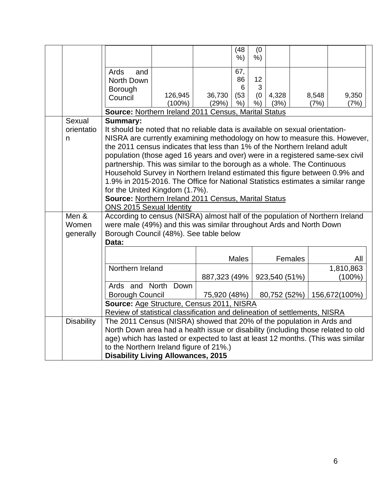|                             |                                                                                                                                                     |                                                                                                                                                                                                                                                                                                                                                                                                                                                                                                                                                                                                                                                                                                                                                                                     |                 | (48)<br>$%$ )      | (0)<br>$%$ )  |               |         |               |                        |  |
|-----------------------------|-----------------------------------------------------------------------------------------------------------------------------------------------------|-------------------------------------------------------------------------------------------------------------------------------------------------------------------------------------------------------------------------------------------------------------------------------------------------------------------------------------------------------------------------------------------------------------------------------------------------------------------------------------------------------------------------------------------------------------------------------------------------------------------------------------------------------------------------------------------------------------------------------------------------------------------------------------|-----------------|--------------------|---------------|---------------|---------|---------------|------------------------|--|
|                             | Ards<br>and<br>North Down                                                                                                                           |                                                                                                                                                                                                                                                                                                                                                                                                                                                                                                                                                                                                                                                                                                                                                                                     |                 | 67,<br>86          | 12            |               |         |               |                        |  |
|                             | Borough<br>Council                                                                                                                                  | 126,945<br>$(100\%)$                                                                                                                                                                                                                                                                                                                                                                                                                                                                                                                                                                                                                                                                                                                                                                | 36,730<br>(29%) | 6<br>(53)<br>$%$ ) | 3<br>(0)<br>% | 4,328<br>(3%) |         | 8,548<br>(7%) | 9,350<br>(7%)          |  |
|                             | Source: Northern Ireland 2011 Census, Marital Status                                                                                                |                                                                                                                                                                                                                                                                                                                                                                                                                                                                                                                                                                                                                                                                                                                                                                                     |                 |                    |               |               |         |               |                        |  |
| Sexual<br>orientatio<br>n   | <b>Summary:</b>                                                                                                                                     | It should be noted that no reliable data is available on sexual orientation-<br>NISRA are currently examining methodology on how to measure this. However,<br>the 2011 census indicates that less than 1% of the Northern Ireland adult<br>population (those aged 16 years and over) were in a registered same-sex civil<br>partnership. This was similar to the borough as a whole. The Continuous<br>Household Survey in Northern Ireland estimated this figure between 0.9% and<br>1.9% in 2015-2016. The Office for National Statistics estimates a similar range<br>for the United Kingdom (1.7%).<br>Source: Northern Ireland 2011 Census, Marital Status<br><b>ONS 2015 Sexual Identity</b><br>According to census (NISRA) almost half of the population of Northern Ireland |                 |                    |               |               |         |               |                        |  |
| Men &<br>Women<br>generally | were male (49%) and this was similar throughout Ards and North Down<br>Borough Council (48%). See table below<br>Data:                              |                                                                                                                                                                                                                                                                                                                                                                                                                                                                                                                                                                                                                                                                                                                                                                                     |                 |                    |               |               |         |               |                        |  |
|                             |                                                                                                                                                     |                                                                                                                                                                                                                                                                                                                                                                                                                                                                                                                                                                                                                                                                                                                                                                                     |                 |                    |               |               |         |               |                        |  |
|                             |                                                                                                                                                     |                                                                                                                                                                                                                                                                                                                                                                                                                                                                                                                                                                                                                                                                                                                                                                                     |                 | <b>Males</b>       |               |               | Females |               | All                    |  |
|                             | Northern Ireland                                                                                                                                    |                                                                                                                                                                                                                                                                                                                                                                                                                                                                                                                                                                                                                                                                                                                                                                                     | 887,323 (49%    |                    |               | 923,540 (51%) |         |               | 1,810,863<br>$(100\%)$ |  |
|                             | Ards and North Down<br><b>Borough Council</b>                                                                                                       |                                                                                                                                                                                                                                                                                                                                                                                                                                                                                                                                                                                                                                                                                                                                                                                     | 75,920 (48%)    |                    |               | 80,752 (52%)  |         |               | 156,672(100%)          |  |
|                             | Source: Age Structure, Census 2011, NISRA                                                                                                           |                                                                                                                                                                                                                                                                                                                                                                                                                                                                                                                                                                                                                                                                                                                                                                                     |                 |                    |               |               |         |               |                        |  |
| <b>Disability</b>           | Review of statistical classification and delineation of settlements, NISRA<br>The 2011 Census (NISRA) showed that 20% of the population in Ards and |                                                                                                                                                                                                                                                                                                                                                                                                                                                                                                                                                                                                                                                                                                                                                                                     |                 |                    |               |               |         |               |                        |  |
|                             | North Down area had a health issue or disability (including those related to old                                                                    |                                                                                                                                                                                                                                                                                                                                                                                                                                                                                                                                                                                                                                                                                                                                                                                     |                 |                    |               |               |         |               |                        |  |
|                             | age) which has lasted or expected to last at least 12 months. (This was similar<br>to the Northern Ireland figure of 21%.)                          |                                                                                                                                                                                                                                                                                                                                                                                                                                                                                                                                                                                                                                                                                                                                                                                     |                 |                    |               |               |         |               |                        |  |
|                             | <b>Disability Living Allowances, 2015</b>                                                                                                           |                                                                                                                                                                                                                                                                                                                                                                                                                                                                                                                                                                                                                                                                                                                                                                                     |                 |                    |               |               |         |               |                        |  |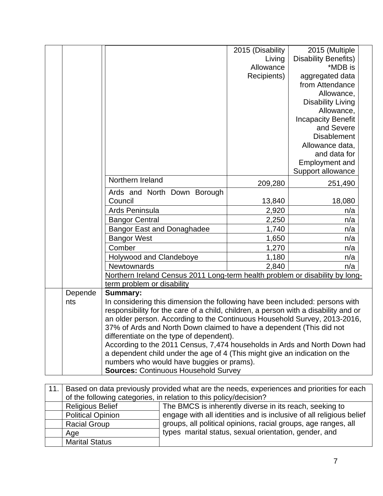|         |                                                                                     | 2015 (Disability | 2015 (Multiple              |  |  |  |  |  |
|---------|-------------------------------------------------------------------------------------|------------------|-----------------------------|--|--|--|--|--|
|         |                                                                                     | Living           | <b>Disability Benefits)</b> |  |  |  |  |  |
|         |                                                                                     | Allowance        | *MDB is                     |  |  |  |  |  |
|         |                                                                                     | Recipients)      | aggregated data             |  |  |  |  |  |
|         |                                                                                     |                  | from Attendance             |  |  |  |  |  |
|         |                                                                                     |                  | Allowance,                  |  |  |  |  |  |
|         |                                                                                     |                  | <b>Disability Living</b>    |  |  |  |  |  |
|         |                                                                                     |                  | Allowance,                  |  |  |  |  |  |
|         |                                                                                     |                  | <b>Incapacity Benefit</b>   |  |  |  |  |  |
|         |                                                                                     |                  | and Severe                  |  |  |  |  |  |
|         |                                                                                     |                  | <b>Disablement</b>          |  |  |  |  |  |
|         |                                                                                     |                  | Allowance data,             |  |  |  |  |  |
|         |                                                                                     |                  | and data for                |  |  |  |  |  |
|         |                                                                                     |                  | <b>Employment and</b>       |  |  |  |  |  |
|         |                                                                                     |                  | Support allowance           |  |  |  |  |  |
|         | Northern Ireland                                                                    | 209,280          | 251,490                     |  |  |  |  |  |
|         | Ards and North Down Borough                                                         |                  |                             |  |  |  |  |  |
|         | Council                                                                             | 13,840           | 18,080                      |  |  |  |  |  |
|         | Ards Peninsula                                                                      | 2,920            | n/a                         |  |  |  |  |  |
|         | <b>Bangor Central</b>                                                               | 2,250            | n/a                         |  |  |  |  |  |
|         | <b>Bangor East and Donaghadee</b>                                                   | 1,740            | n/a                         |  |  |  |  |  |
|         | <b>Bangor West</b>                                                                  | 1,650            | n/a                         |  |  |  |  |  |
|         | Comber                                                                              | 1,270            | n/a                         |  |  |  |  |  |
|         | Holywood and Clandeboye                                                             | 1,180            | n/a                         |  |  |  |  |  |
|         | <b>Newtownards</b>                                                                  | 2,840            | n/a                         |  |  |  |  |  |
|         | Northern Ireland Census 2011 Long-term health problem or disability by long-        |                  |                             |  |  |  |  |  |
|         | term problem or disability                                                          |                  |                             |  |  |  |  |  |
| Depende | <b>Summary:</b>                                                                     |                  |                             |  |  |  |  |  |
| nts     | In considering this dimension the following have been included: persons with        |                  |                             |  |  |  |  |  |
|         | responsibility for the care of a child, children, a person with a disability and or |                  |                             |  |  |  |  |  |
|         | an older person. According to the Continuous Household Survey, 2013-2016,           |                  |                             |  |  |  |  |  |
|         | 37% of Ards and North Down claimed to have a dependent (This did not                |                  |                             |  |  |  |  |  |
|         | differentiate on the type of dependent).                                            |                  |                             |  |  |  |  |  |
|         | According to the 2011 Census, 7,474 households in Ards and North Down had           |                  |                             |  |  |  |  |  |
|         | a dependent child under the age of 4 (This might give an indication on the          |                  |                             |  |  |  |  |  |
|         | numbers who would have buggies or prams).                                           |                  |                             |  |  |  |  |  |
|         | <b>Sources: Continuous Household Survey</b>                                         |                  |                             |  |  |  |  |  |

| 11. | Based on data previously provided what are the needs, experiences and priorities for each |                                                                     |  |  |  |  |  |  |  |  |
|-----|-------------------------------------------------------------------------------------------|---------------------------------------------------------------------|--|--|--|--|--|--|--|--|
|     | of the following categories, in relation to this policy/decision?                         |                                                                     |  |  |  |  |  |  |  |  |
|     | <b>Religious Belief</b>                                                                   | The BMCS is inherently diverse in its reach, seeking to             |  |  |  |  |  |  |  |  |
|     | <b>Political Opinion</b>                                                                  | engage with all identities and is inclusive of all religious belief |  |  |  |  |  |  |  |  |
|     | <b>Racial Group</b>                                                                       | groups, all political opinions, racial groups, age ranges, all      |  |  |  |  |  |  |  |  |
|     | Age                                                                                       | types marital status, sexual orientation, gender, and               |  |  |  |  |  |  |  |  |
|     | <b>Marital Status</b>                                                                     |                                                                     |  |  |  |  |  |  |  |  |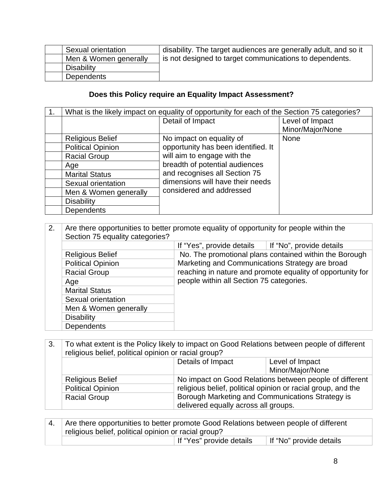| Sexual orientation    | disability. The target audiences are generally adult, and so it |
|-----------------------|-----------------------------------------------------------------|
| Men & Women generally | is not designed to target communications to dependents.         |
| Disability            |                                                                 |
| <b>Dependents</b>     |                                                                 |

### **Does this Policy require an Equality Impact Assessment?**

|                          | What is the likely impact on equality of opportunity for each of the Section 75 categories? |                  |
|--------------------------|---------------------------------------------------------------------------------------------|------------------|
|                          | Detail of Impact                                                                            | Level of Impact  |
|                          |                                                                                             | Minor/Major/None |
| <b>Religious Belief</b>  | No impact on equality of                                                                    | <b>None</b>      |
| <b>Political Opinion</b> | opportunity has been identified. It                                                         |                  |
| <b>Racial Group</b>      | will aim to engage with the                                                                 |                  |
| Age                      | breadth of potential audiences                                                              |                  |
| <b>Marital Status</b>    | and recognises all Section 75                                                               |                  |
| Sexual orientation       | dimensions will have their needs                                                            |                  |
| Men & Women generally    | considered and addressed                                                                    |                  |
| <b>Disability</b>        |                                                                                             |                  |
| Dependents               |                                                                                             |                  |

| 2. | Are there opportunities to better promote equality of opportunity for people within the<br>Section 75 equality categories? |                                                                                                                                                                                                                     |                          |
|----|----------------------------------------------------------------------------------------------------------------------------|---------------------------------------------------------------------------------------------------------------------------------------------------------------------------------------------------------------------|--------------------------|
|    |                                                                                                                            | If "Yes", provide details                                                                                                                                                                                           | If "No", provide details |
|    | <b>Religious Belief</b>                                                                                                    | No. The promotional plans contained within the Borough<br>Marketing and Communications Strategy are broad<br>reaching in nature and promote equality of opportunity for<br>people within all Section 75 categories. |                          |
|    | <b>Political Opinion</b>                                                                                                   |                                                                                                                                                                                                                     |                          |
|    | <b>Racial Group</b>                                                                                                        |                                                                                                                                                                                                                     |                          |
|    | Age                                                                                                                        |                                                                                                                                                                                                                     |                          |
|    | <b>Marital Status</b>                                                                                                      |                                                                                                                                                                                                                     |                          |
|    | Sexual orientation                                                                                                         |                                                                                                                                                                                                                     |                          |
|    | Men & Women generally                                                                                                      |                                                                                                                                                                                                                     |                          |
|    | <b>Disability</b>                                                                                                          |                                                                                                                                                                                                                     |                          |
|    | Dependents                                                                                                                 |                                                                                                                                                                                                                     |                          |

| 3.                      | To what extent is the Policy likely to impact on Good Relations between people of different<br>religious belief, political opinion or racial group? |                                                              |                                                         |  |
|-------------------------|-----------------------------------------------------------------------------------------------------------------------------------------------------|--------------------------------------------------------------|---------------------------------------------------------|--|
|                         | Details of Impact<br>Level of Impact                                                                                                                |                                                              |                                                         |  |
|                         |                                                                                                                                                     |                                                              | Minor/Major/None                                        |  |
| <b>Religious Belief</b> |                                                                                                                                                     |                                                              | No impact on Good Relations between people of different |  |
|                         | <b>Political Opinion</b>                                                                                                                            | religious belief, political opinion or racial group, and the |                                                         |  |
|                         | <b>Racial Group</b>                                                                                                                                 | Borough Marketing and Communications Strategy is             |                                                         |  |
|                         |                                                                                                                                                     | delivered equally across all groups.                         |                                                         |  |

4. Are there opportunities to better promote Good Relations between people of different religious belief, political opinion or racial group? If "Yes" provide details | If "No" provide details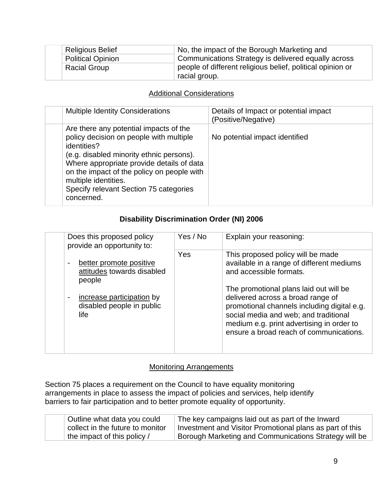| <b>Religious Belief</b>  | No, the impact of the Borough Marketing and                |
|--------------------------|------------------------------------------------------------|
| <b>Political Opinion</b> | Communications Strategy is delivered equally across        |
| <b>Racial Group</b>      | people of different religious belief, political opinion or |
|                          | racial group.                                              |

#### Additional Considerations

| <b>Multiple Identity Considerations</b>                                                                                                                                                                                                                                                                                 | Details of Impact or potential impact<br>(Positive/Negative) |
|-------------------------------------------------------------------------------------------------------------------------------------------------------------------------------------------------------------------------------------------------------------------------------------------------------------------------|--------------------------------------------------------------|
| Are there any potential impacts of the<br>policy decision on people with multiple<br>identities?<br>(e.g. disabled minority ethnic persons).<br>Where appropriate provide details of data<br>on the impact of the policy on people with<br>multiple identities.<br>Specify relevant Section 75 categories<br>concerned. | No potential impact identified                               |

### **Disability Discrimination Order (NI) 2006**

| Does this proposed policy<br>provide an opportunity to:                          | Yes / No | Explain your reasoning:                                                                                                                                                                                           |
|----------------------------------------------------------------------------------|----------|-------------------------------------------------------------------------------------------------------------------------------------------------------------------------------------------------------------------|
| better promote positive<br>attitudes towards disabled<br>people                  | Yes      | This proposed policy will be made<br>available in a range of different mediums<br>and accessible formats.<br>The promotional plans laid out will be                                                               |
| increase participation by<br>$\blacksquare$<br>disabled people in public<br>life |          | delivered across a broad range of<br>promotional channels including digital e.g.<br>social media and web; and traditional<br>medium e.g. print advertising in order to<br>ensure a broad reach of communications. |

#### Monitoring Arrangements

Section 75 places a requirement on the Council to have equality monitoring arrangements in place to assess the impact of policies and services, help identify barriers to fair participation and to better promote equality of opportunity.

| Outline what data you could      | The key campaigns laid out as part of the Inward         |
|----------------------------------|----------------------------------------------------------|
| collect in the future to monitor | Investment and Visitor Promotional plans as part of this |
| the impact of this policy /      | Borough Marketing and Communications Strategy will be    |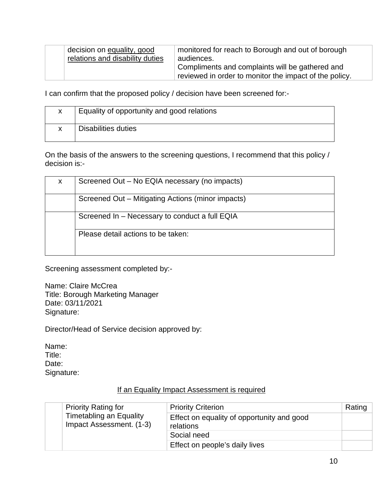| decision on equality, good      | monitored for reach to Borough and out of borough      |
|---------------------------------|--------------------------------------------------------|
| relations and disability duties | audiences.                                             |
|                                 | Compliments and complaints will be gathered and        |
|                                 | reviewed in order to monitor the impact of the policy. |
|                                 |                                                        |

I can confirm that the proposed policy / decision have been screened for:-

| Equality of opportunity and good relations |
|--------------------------------------------|
| Disabilities duties                        |

On the basis of the answers to the screening questions, I recommend that this policy / decision is:-

| X                                  | Screened Out – No EQIA necessary (no impacts)     |
|------------------------------------|---------------------------------------------------|
|                                    | Screened Out – Mitigating Actions (minor impacts) |
|                                    | Screened In - Necessary to conduct a full EQIA    |
| Please detail actions to be taken: |                                                   |

Screening assessment completed by:-

Name: Claire McCrea Title: Borough Marketing Manager Date: 03/11/2021 Signature:

Director/Head of Service decision approved by:

Name: Title: Date: Signature:

|  | <b>Priority Rating for</b>                                 | <b>Priority Criterion</b>                               | Rating |
|--|------------------------------------------------------------|---------------------------------------------------------|--------|
|  | <b>Timetabling an Equality</b><br>Impact Assessment. (1-3) | Effect on equality of opportunity and good<br>relations |        |
|  |                                                            | Social need                                             |        |
|  |                                                            | Effect on people's daily lives                          |        |

#### If an Equality Impact Assessment is required